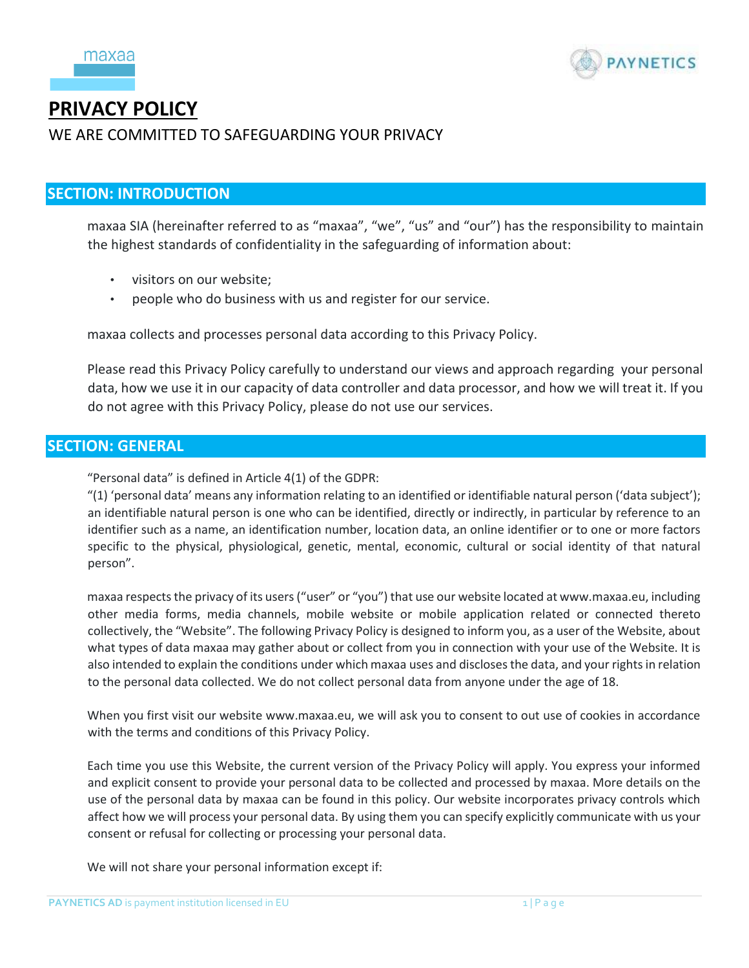



# **PRIVACY POLICY**

# WE ARE COMMITTED TO SAFEGUARDING YOUR PRIVACY

# **SECTION: INTRODUCTION**

maxaa SIA (hereinafter referred to as "maxaa", "we", "us" and "our") has the responsibility to maintain the highest standards of confidentiality in the safeguarding of information about:

- visitors on our website;
- people who do business with us and register for our service.

maxaa collects and processes personal data according to this Privacy Policy.

Please read this Privacy Policy carefully to understand our views and approach regarding your personal data, how we use it in our capacity of data controller and data processor, and how we will treat it. If you do not agree with this Privacy Policy, please do not use our services.

# **SECTION: GENERAL**

"Personal data" is defined in Article 4(1) of the GDPR:

"(1) 'personal data' means any information relating to an identified or identifiable natural person ('data subject'); an identifiable natural person is one who can be identified, directly or indirectly, in particular by reference to an identifier such as a name, an identification number, location data, an online identifier or to one or more factors specific to the physical, physiological, genetic, mental, economic, cultural or social identity of that natural person".

maxaa respects the privacy of its users ("user" or "you") that use our website located at www.maxaa.eu, including other media forms, media channels, mobile website or mobile application related or connected thereto collectively, the "Website". The following Privacy Policy is designed to inform you, as a user of the Website, about what types of data maxaa may gather about or collect from you in connection with your use of the Website. It is also intended to explain the conditions under which maxaa uses and discloses the data, and your rights in relation to the personal data collected. We do not collect personal data from anyone under the age of 18.

When you first visit our website www.maxaa.eu, we will ask you to consent to out use of cookies in accordance with the terms and conditions of this Privacy Policy.

Each time you use this Website, the current version of the Privacy Policy will apply. You express your informed and explicit consent to provide your personal data to be collected and processed by maxaa. More details on the use of the personal data by maxaa can be found in this policy. Our website incorporates privacy controls which affect how we will process your personal data. By using them you can specify explicitly communicate with us your consent or refusal for collecting or processing your personal data.

We will not share your personal information except if: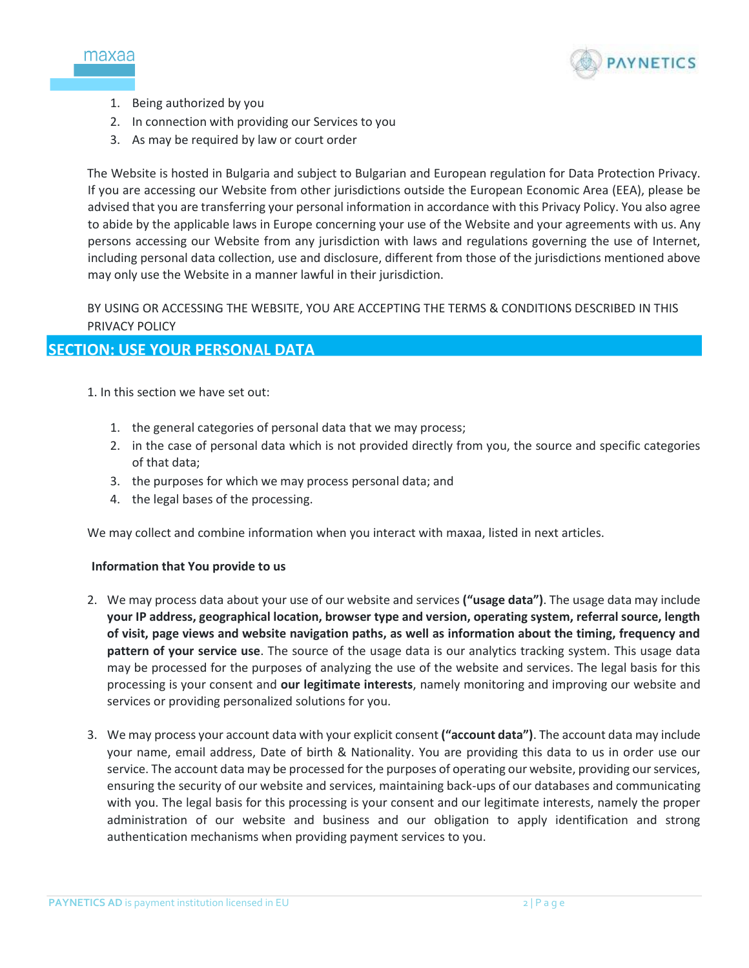



- 1. Being authorized by you
- 2. In connection with providing our Services to you
- 3. As may be required by law or court order

The Website is hosted in Bulgaria and subject to Bulgarian and European regulation for Data Protection Privacy. If you are accessing our Website from other jurisdictions outside the European Economic Area (EEA), please be advised that you are transferring your personal information in accordance with this Privacy Policy. You also agree to abide by the applicable laws in Europe concerning your use of the Website and your agreements with us. Any persons accessing our Website from any jurisdiction with laws and regulations governing the use of Internet, including personal data collection, use and disclosure, different from those of the jurisdictions mentioned above may only use the Website in a manner lawful in their jurisdiction.

BY USING OR ACCESSING THE WEBSITE, YOU ARE ACCEPTING THE TERMS & CONDITIONS DESCRIBED IN THIS PRIVACY POLICY

# **SECTION: USE YOUR PERSONAL DATA**

1. In this section we have set out:

- 1. the general categories of personal data that we may process;
- 2. in the case of personal data which is not provided directly from you, the source and specific categories of that data;
- 3. the purposes for which we may process personal data; and
- 4. the legal bases of the processing.

We may collect and combine information when you interact with maxaa, listed in next articles.

#### **Information that You provide to us**

- 2. We may process data about your use of our website and services **("usage data")**. The usage data may include **your IP address, geographical location, browser type and version, operating system, referral source, length of visit, page views and website navigation paths, as well as information about the timing, frequency and pattern of your service use**. The source of the usage data is our analytics tracking system. This usage data may be processed for the purposes of analyzing the use of the website and services. The legal basis for this processing is your consent and **our legitimate interests**, namely monitoring and improving our website and services or providing personalized solutions for you.
- 3. We may process your account data with your explicit consent **("account data")**. The account data may include your name, email address, Date of birth & Nationality. You are providing this data to us in order use our service. The account data may be processed for the purposes of operating our website, providing our services, ensuring the security of our website and services, maintaining back-ups of our databases and communicating with you. The legal basis for this processing is your consent and our legitimate interests, namely the proper administration of our website and business and our obligation to apply identification and strong authentication mechanisms when providing payment services to you.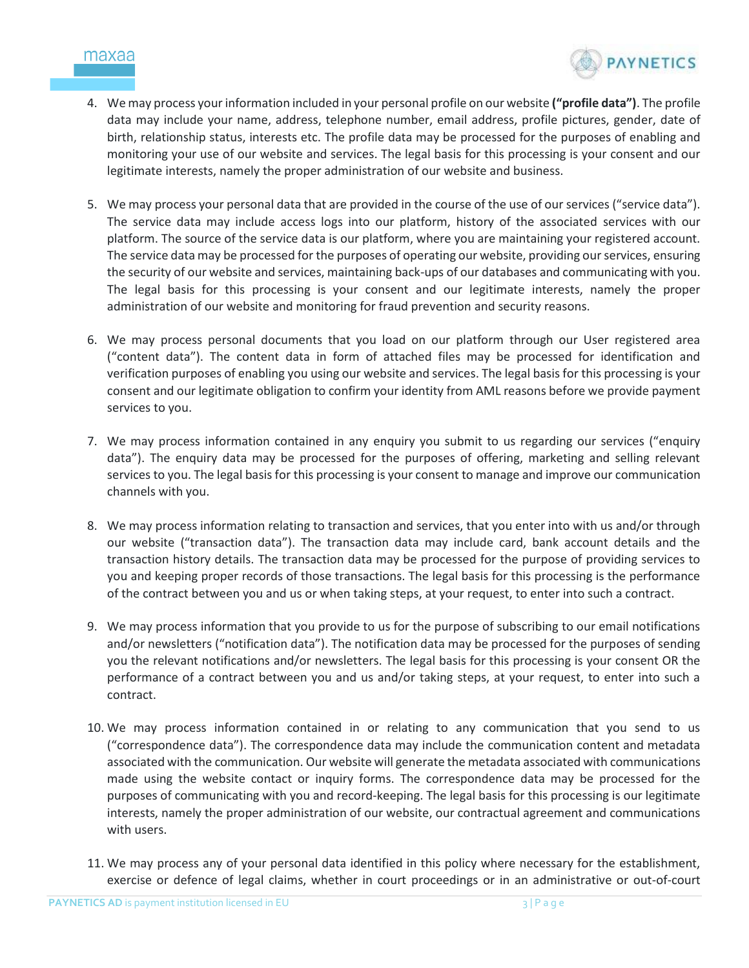

- 4. We may process your information included in your personal profile on our website **("profile data")**. The profile data may include your name, address, telephone number, email address, profile pictures, gender, date of birth, relationship status, interests etc. The profile data may be processed for the purposes of enabling and monitoring your use of our website and services. The legal basis for this processing is your consent and our legitimate interests, namely the proper administration of our website and business.
- 5. We may process your personal data that are provided in the course of the use of our services ("service data"). The service data may include access logs into our platform, history of the associated services with our platform. The source of the service data is our platform, where you are maintaining your registered account. The service data may be processed for the purposes of operating our website, providing our services, ensuring the security of our website and services, maintaining back-ups of our databases and communicating with you. The legal basis for this processing is your consent and our legitimate interests, namely the proper administration of our website and monitoring for fraud prevention and security reasons.
- 6. We may process personal documents that you load on our platform through our User registered area ("content data"). The content data in form of attached files may be processed for identification and verification purposes of enabling you using our website and services. The legal basis for this processing is your consent and our legitimate obligation to confirm your identity from AML reasons before we provide payment services to you.
- 7. We may process information contained in any enquiry you submit to us regarding our services ("enquiry data"). The enquiry data may be processed for the purposes of offering, marketing and selling relevant services to you. The legal basis for this processing is your consent to manage and improve our communication channels with you.
- 8. We may process information relating to transaction and services, that you enter into with us and/or through our website ("transaction data"). The transaction data may include card, bank account details and the transaction history details. The transaction data may be processed for the purpose of providing services to you and keeping proper records of those transactions. The legal basis for this processing is the performance of the contract between you and us or when taking steps, at your request, to enter into such a contract.
- 9. We may process information that you provide to us for the purpose of subscribing to our email notifications and/or newsletters ("notification data"). The notification data may be processed for the purposes of sending you the relevant notifications and/or newsletters. The legal basis for this processing is your consent OR the performance of a contract between you and us and/or taking steps, at your request, to enter into such a contract.
- 10. We may process information contained in or relating to any communication that you send to us ("correspondence data"). The correspondence data may include the communication content and metadata associated with the communication. Our website will generate the metadata associated with communications made using the website contact or inquiry forms. The correspondence data may be processed for the purposes of communicating with you and record-keeping. The legal basis for this processing is our legitimate interests, namely the proper administration of our website, our contractual agreement and communications with users.
- 11. We may process any of your personal data identified in this policy where necessary for the establishment, exercise or defence of legal claims, whether in court proceedings or in an administrative or out-of-court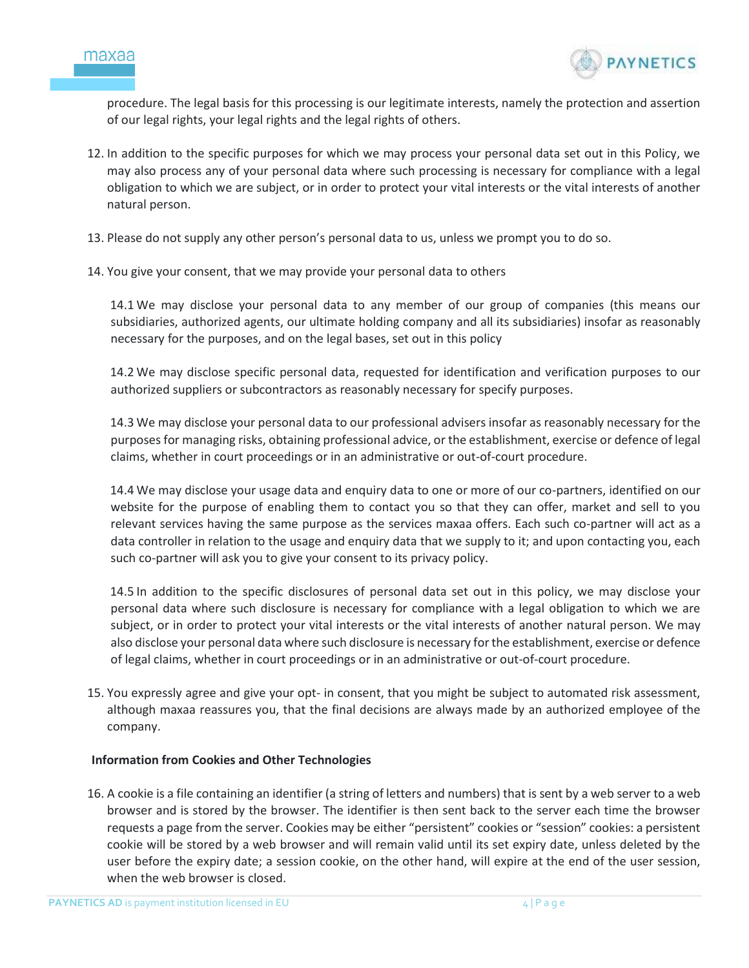



procedure. The legal basis for this processing is our legitimate interests, namely the protection and assertion of our legal rights, your legal rights and the legal rights of others.

- 12. In addition to the specific purposes for which we may process your personal data set out in this Policy, we may also process any of your personal data where such processing is necessary for compliance with a legal obligation to which we are subject, or in order to protect your vital interests or the vital interests of another natural person.
- 13. Please do not supply any other person's personal data to us, unless we prompt you to do so.
- 14. You give your consent, that we may provide your personal data to others

14.1 We may disclose your personal data to any member of our group of companies (this means our subsidiaries, authorized agents, our ultimate holding company and all its subsidiaries) insofar as reasonably necessary for the purposes, and on the legal bases, set out in this policy

14.2 We may disclose specific personal data, requested for identification and verification purposes to our authorized suppliers or subcontractors as reasonably necessary for specify purposes.

14.3 We may disclose your personal data to our professional advisers insofar as reasonably necessary for the purposes for managing risks, obtaining professional advice, or the establishment, exercise or defence of legal claims, whether in court proceedings or in an administrative or out-of-court procedure.

14.4 We may disclose your usage data and enquiry data to one or more of our co-partners, identified on our website for the purpose of enabling them to contact you so that they can offer, market and sell to you relevant services having the same purpose as the services maxaa offers. Each such co-partner will act as a data controller in relation to the usage and enquiry data that we supply to it; and upon contacting you, each such co-partner will ask you to give your consent to its privacy policy.

14.5 In addition to the specific disclosures of personal data set out in this policy, we may disclose your personal data where such disclosure is necessary for compliance with a legal obligation to which we are subject, or in order to protect your vital interests or the vital interests of another natural person. We may also disclose your personal data where such disclosure is necessary for the establishment, exercise or defence of legal claims, whether in court proceedings or in an administrative or out-of-court procedure.

15. You expressly agree and give your opt- in consent, that you might be subject to automated risk assessment, although maxaa reassures you, that the final decisions are always made by an authorized employee of the company.

#### **Information from Cookies and Other Technologies**

16. A cookie is a file containing an identifier (a string of letters and numbers) that is sent by a web server to a web browser and is stored by the browser. The identifier is then sent back to the server each time the browser requests a page from the server. Cookies may be either "persistent" cookies or "session" cookies: a persistent cookie will be stored by a web browser and will remain valid until its set expiry date, unless deleted by the user before the expiry date; a session cookie, on the other hand, will expire at the end of the user session, when the web browser is closed.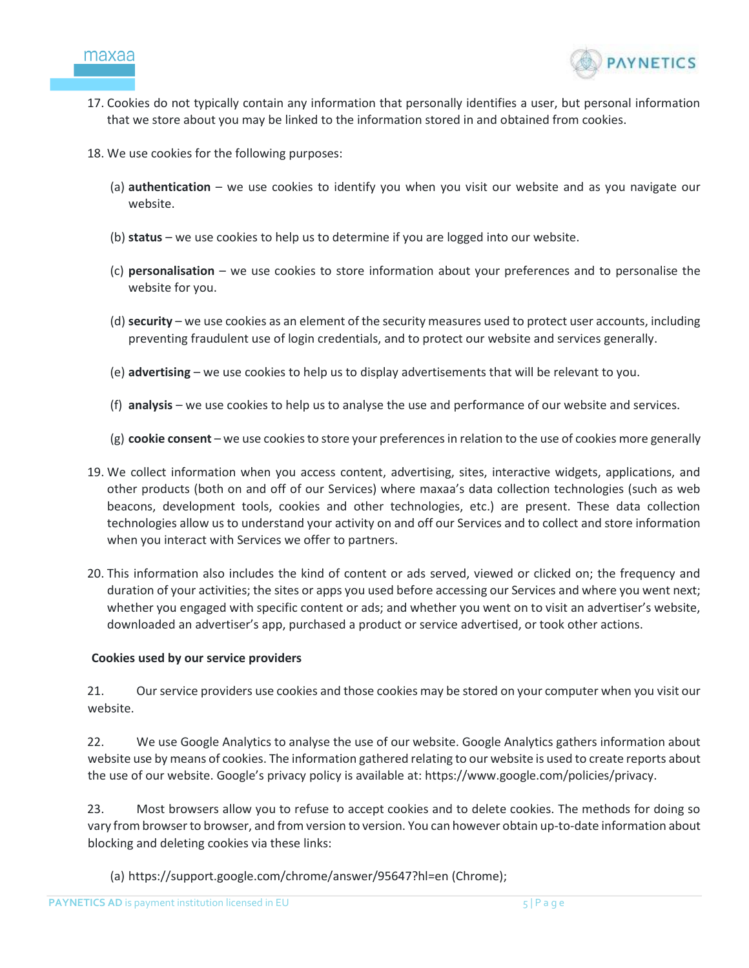



- 17. Cookies do not typically contain any information that personally identifies a user, but personal information that we store about you may be linked to the information stored in and obtained from cookies.
- 18. We use cookies for the following purposes:
	- (a) **authentication** we use cookies to identify you when you visit our website and as you navigate our website.
	- (b) **status** we use cookies to help us to determine if you are logged into our website.
	- (c) **personalisation** we use cookies to store information about your preferences and to personalise the website for you.
	- (d) **security** we use cookies as an element of the security measures used to protect user accounts, including preventing fraudulent use of login credentials, and to protect our website and services generally.
	- (e) **advertising** we use cookies to help us to display advertisements that will be relevant to you.
	- (f) **analysis** we use cookies to help us to analyse the use and performance of our website and services.
	- (g) **cookie consent** we use cookies to store your preferences in relation to the use of cookies more generally
- 19. We collect information when you access content, advertising, sites, interactive widgets, applications, and other products (both on and off of our Services) where maxaa's data collection technologies (such as web beacons, development tools, cookies and other technologies, etc.) are present. These data collection technologies allow us to understand your activity on and off our Services and to collect and store information when you interact with Services we offer to partners.
- 20. This information also includes the kind of content or ads served, viewed or clicked on; the frequency and duration of your activities; the sites or apps you used before accessing our Services and where you went next; whether you engaged with specific content or ads; and whether you went on to visit an advertiser's website, downloaded an advertiser's app, purchased a product or service advertised, or took other actions.

#### **Cookies used by our service providers**

21. Our service providers use cookies and those cookies may be stored on your computer when you visit our website.

22. We use Google Analytics to analyse the use of our website. Google Analytics gathers information about website use by means of cookies. The information gathered relating to our website is used to create reports about the use of our website. Google's privacy policy is available at: https://www.google.com/policies/privacy.

23. Most browsers allow you to refuse to accept cookies and to delete cookies. The methods for doing so vary from browser to browser, and from version to version. You can however obtain up-to-date information about blocking and deleting cookies via these links:

(a) https://support.google.com/chrome/answer/95647?hl=en (Chrome);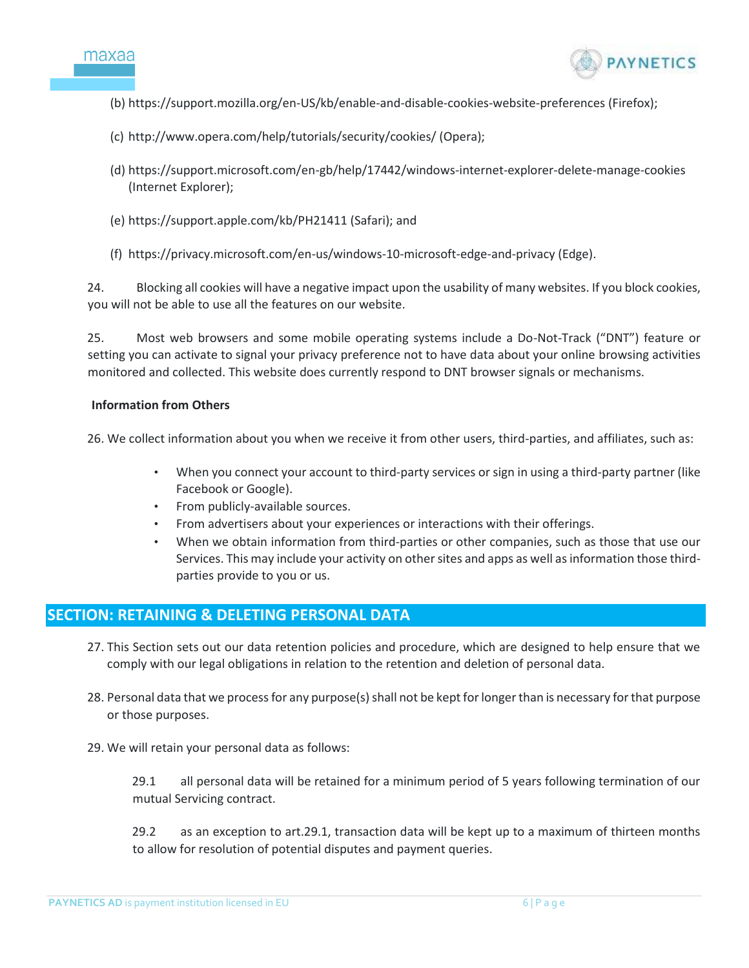



- (b) https://support.mozilla.org/en-US/kb/enable-and-disable-cookies-website-preferences (Firefox);
- (c) http://www.opera.com/help/tutorials/security/cookies/ (Opera);
- (d) https://support.microsoft.com/en-gb/help/17442/windows-internet-explorer-delete-manage-cookies (Internet Explorer);
- (e) https://support.apple.com/kb/PH21411 (Safari); and
- (f) https://privacy.microsoft.com/en-us/windows-10-microsoft-edge-and-privacy (Edge).

24. Blocking all cookies will have a negative impact upon the usability of many websites. If you block cookies, you will not be able to use all the features on our website.

25. Most web browsers and some mobile operating systems include a Do-Not-Track ("DNT") feature or setting you can activate to signal your privacy preference not to have data about your online browsing activities monitored and collected. This website does currently respond to DNT browser signals or mechanisms.

#### **Information from Others**

26. We collect information about you when we receive it from other users, third-parties, and affiliates, such as:

- When you connect your account to third-party services or sign in using a third-party partner (like Facebook or Google).
- From publicly-available sources.
- From advertisers about your experiences or interactions with their offerings.
- When we obtain information from third-parties or other companies, such as those that use our Services. This may include your activity on other sites and apps as well as information those thirdparties provide to you or us.

# **SECTION: RETAINING & DELETING PERSONAL DATA**

- 27. This Section sets out our data retention policies and procedure, which are designed to help ensure that we comply with our legal obligations in relation to the retention and deletion of personal data.
- 28. Personal data that we process for any purpose(s) shall not be kept for longer than is necessary for that purpose or those purposes.
- 29. We will retain your personal data as follows:

29.1 all personal data will be retained for a minimum period of 5 years following termination of our mutual Servicing contract.

29.2 as an exception to art.29.1, transaction data will be kept up to a maximum of thirteen months to allow for resolution of potential disputes and payment queries.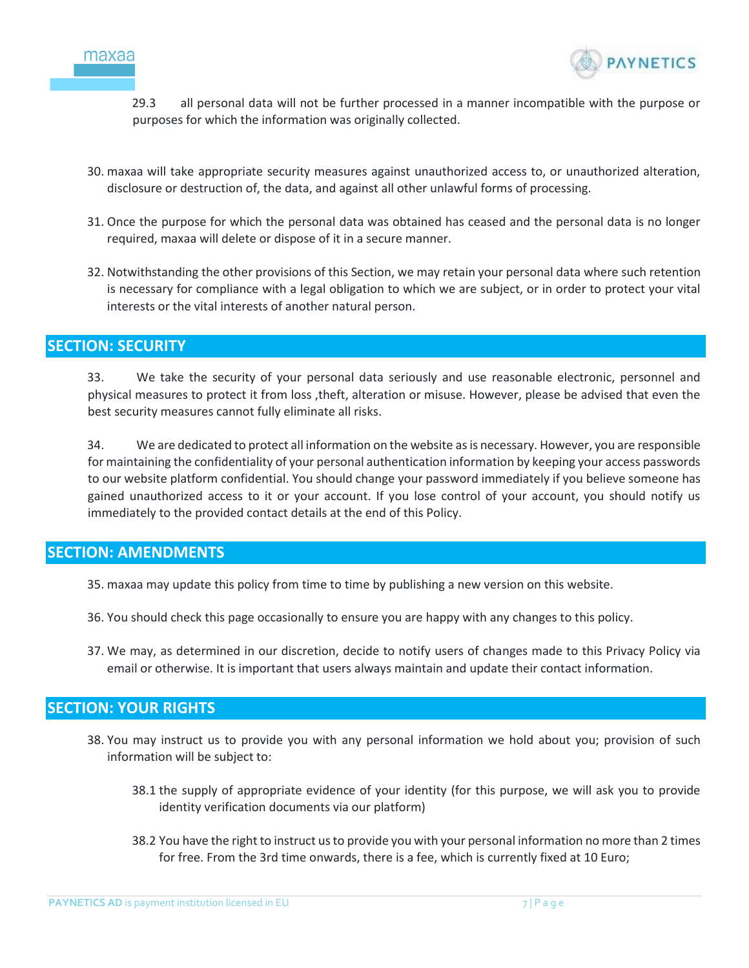



29.3 all personal data will not be further processed in a manner incompatible with the purpose or purposes for which the information was originally collected.

- 30. maxaa will take appropriate security measures against unauthorized access to, or unauthorized alteration, disclosure or destruction of, the data, and against all other unlawful forms of processing.
- 31. Once the purpose for which the personal data was obtained has ceased and the personal data is no longer required, maxaa will delete or dispose of it in a secure manner.
- 32. Notwithstanding the other provisions of this Section, we may retain your personal data where such retention is necessary for compliance with a legal obligation to which we are subject, or in order to protect your vital interests or the vital interests of another natural person.

## **SECTION: SECURITY**

33. We take the security of your personal data seriously and use reasonable electronic, personnel and physical measures to protect it from loss ,theft, alteration or misuse. However, please be advised that even the best security measures cannot fully eliminate all risks.

34. We are dedicated to protect all information on the website as is necessary. However, you are responsible for maintaining the confidentiality of your personal authentication information by keeping your access passwords to our website platform confidential. You should change your password immediately if you believe someone has gained unauthorized access to it or your account. If you lose control of your account, you should notify us immediately to the provided contact details at the end of this Policy.

## **SECTION: AMENDMENTS**

- 35. maxaa may update this policy from time to time by publishing a new version on this website.
- 36. You should check this page occasionally to ensure you are happy with any changes to this policy.
- 37. We may, as determined in our discretion, decide to notify users of changes made to this Privacy Policy via email or otherwise. It is important that users always maintain and update their contact information.

# **SECTION: YOUR RIGHTS**

- 38. You may instruct us to provide you with any personal information we hold about you; provision of such information will be subject to:
	- 38.1 the supply of appropriate evidence of your identity (for this purpose, we will ask you to provide identity verification documents via our platform)
	- 38.2 You have the right to instruct us to provide you with your personal information no more than 2 times for free. From the 3rd time onwards, there is a fee, which is currently fixed at 10 Euro;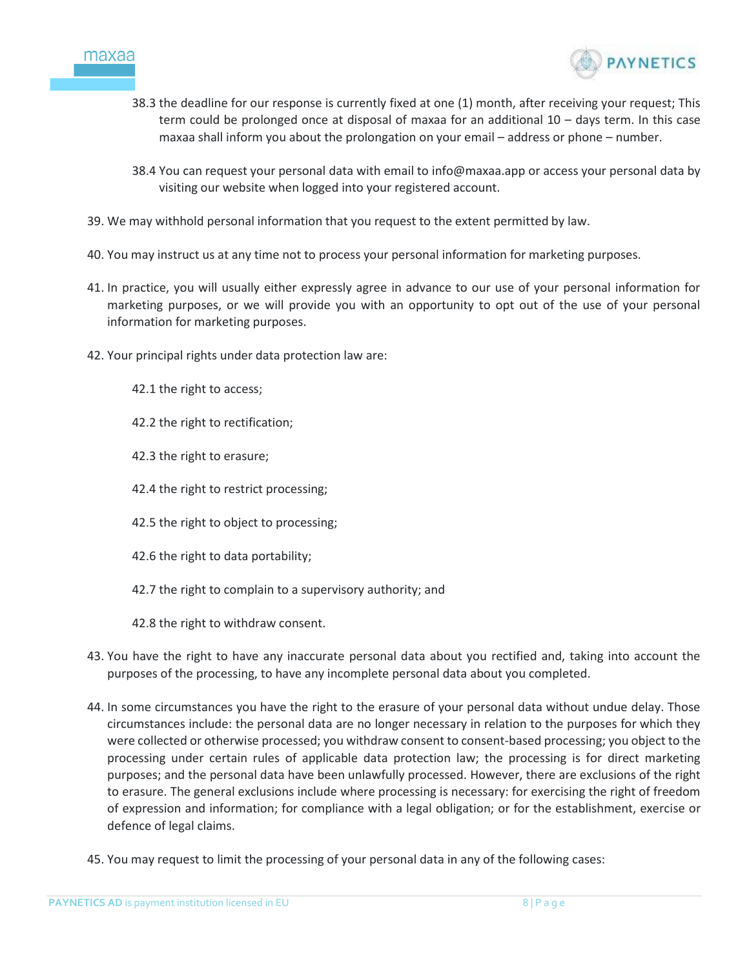



- 38.3 the deadline for our response is currently fixed at one (1) month, after receiving your request; This term could be prolonged once at disposal of maxaa for an additional 10 – days term. In this case maxaa shall inform you about the prolongation on your email – address or phone – number.
- 38.4 You can request your personal data with email to info@maxaa.app or access your personal data by visiting our website when logged into your registered account.
- 39. We may withhold personal information that you request to the extent permitted by law.
- 40. You may instruct us at any time not to process your personal information for marketing purposes.
- 41. In practice, you will usually either expressly agree in advance to our use of your personal information for marketing purposes, or we will provide you with an opportunity to opt out of the use of your personal information for marketing purposes.
- 42. Your principal rights under data protection law are:
	- 42.1 the right to access;
	- 42.2 the right to rectification;
	- 42.3 the right to erasure;
	- 42.4 the right to restrict processing;
	- 42.5 the right to object to processing;
	- 42.6 the right to data portability;
	- 42.7 the right to complain to a supervisory authority; and
	- 42.8 the right to withdraw consent.
- 43. You have the right to have any inaccurate personal data about you rectified and, taking into account the purposes of the processing, to have any incomplete personal data about you completed.
- 44. In some circumstances you have the right to the erasure of your personal data without undue delay. Those circumstances include: the personal data are no longer necessary in relation to the purposes for which they were collected or otherwise processed; you withdraw consent to consent-based processing; you object to the processing under certain rules of applicable data protection law; the processing is for direct marketing purposes; and the personal data have been unlawfully processed. However, there are exclusions of the right to erasure. The general exclusions include where processing is necessary: for exercising the right of freedom of expression and information; for compliance with a legal obligation; or for the establishment, exercise or defence of legal claims.
- 45. You may request to limit the processing of your personal data in any of the following cases: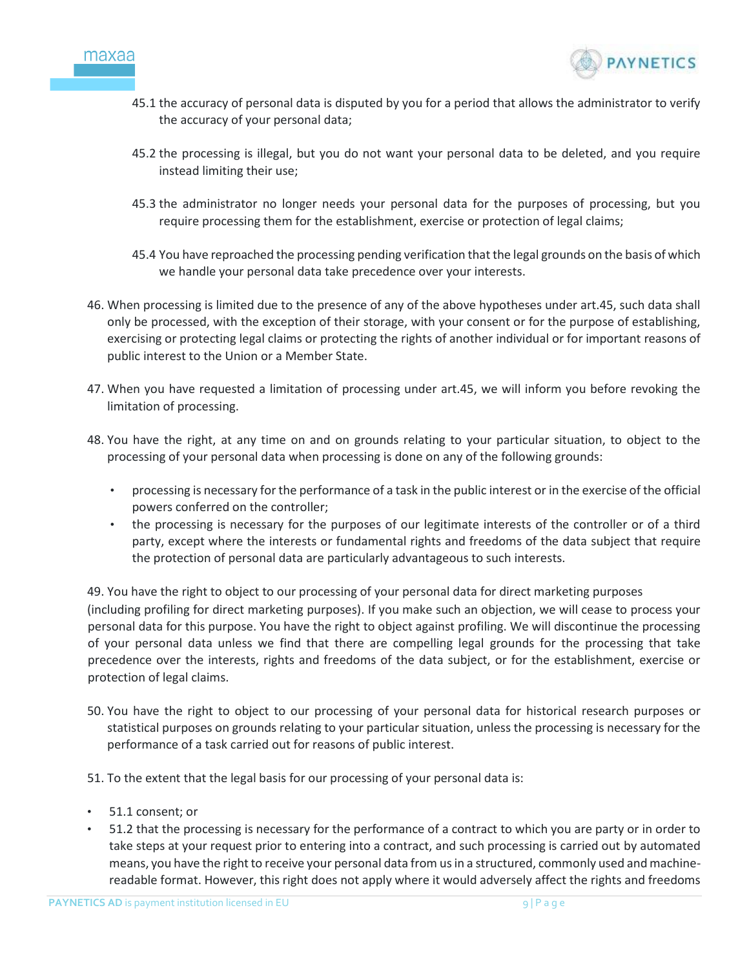



- 45.1 the accuracy of personal data is disputed by you for a period that allows the administrator to verify the accuracy of your personal data;
- 45.2 the processing is illegal, but you do not want your personal data to be deleted, and you require instead limiting their use;
- 45.3 the administrator no longer needs your personal data for the purposes of processing, but you require processing them for the establishment, exercise or protection of legal claims;
- 45.4 You have reproached the processing pending verification that the legal grounds on the basis of which we handle your personal data take precedence over your interests.
- 46. When processing is limited due to the presence of any of the above hypotheses under art.45, such data shall only be processed, with the exception of their storage, with your consent or for the purpose of establishing, exercising or protecting legal claims or protecting the rights of another individual or for important reasons of public interest to the Union or a Member State.
- 47. When you have requested a limitation of processing under art.45, we will inform you before revoking the limitation of processing.
- 48. You have the right, at any time on and on grounds relating to your particular situation, to object to the processing of your personal data when processing is done on any of the following grounds:
	- processing is necessary for the performance of a task in the public interest or in the exercise of the official powers conferred on the controller;
	- the processing is necessary for the purposes of our legitimate interests of the controller or of a third party, except where the interests or fundamental rights and freedoms of the data subject that require the protection of personal data are particularly advantageous to such interests.

49. You have the right to object to our processing of your personal data for direct marketing purposes (including profiling for direct marketing purposes). If you make such an objection, we will cease to process your personal data for this purpose. You have the right to object against profiling. We will discontinue the processing of your personal data unless we find that there are compelling legal grounds for the processing that take precedence over the interests, rights and freedoms of the data subject, or for the establishment, exercise or protection of legal claims.

- 50. You have the right to object to our processing of your personal data for historical research purposes or statistical purposes on grounds relating to your particular situation, unless the processing is necessary for the performance of a task carried out for reasons of public interest.
- 51. To the extent that the legal basis for our processing of your personal data is:
- 51.1 consent; or
- 51.2 that the processing is necessary for the performance of a contract to which you are party or in order to take steps at your request prior to entering into a contract, and such processing is carried out by automated means, you have the right to receive your personal data from us in a structured, commonly used and machinereadable format. However, this right does not apply where it would adversely affect the rights and freedoms